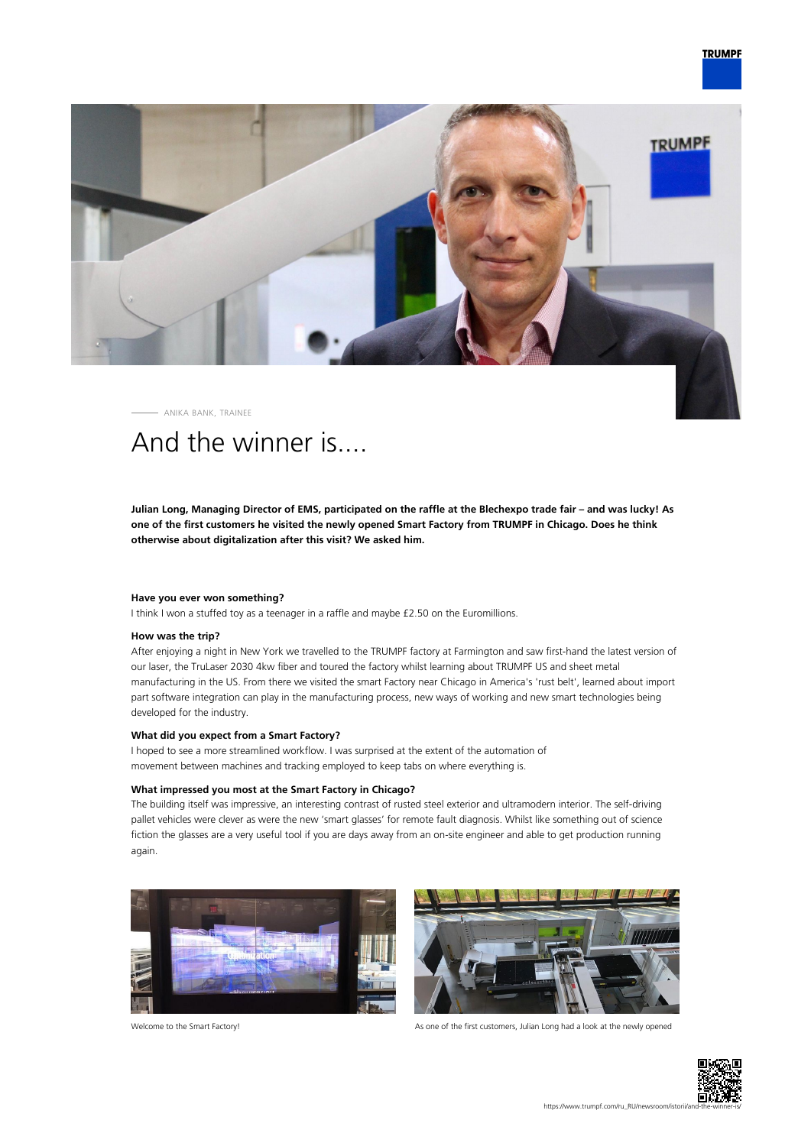## **TRUMPF**



ANIKA BANK, TRAINEE

# And the winner is....

**Julian Long, Managing Director of EMS, participated on the raffle at the Blechexpo trade fair – and was lucky! As one of the first customers he visited the newly opened Smart Factory from TRUMPF in Chicago. Does he think otherwise about digitalization after this visit? We asked him.**

#### **Have you ever won something?**

I think I won a stuffed toy as a teenager in a raffle and maybe £2.50 on the Euromillions.

#### **How was the trip?**

After enjoying a night in New York we travelled to the TRUMPF factory at Farmington and saw first-hand the latest version of our laser, the TruLaser 2030 4kw fiber and toured the factory whilst learning about TRUMPF US and sheet metal manufacturing in the US. From there we visited the smart Factory near Chicago in America's 'rust belt', learned about import part software integration can play in the manufacturing process, new ways of working and new smart technologies being developed for the industry.

#### **What did you expect from a Smart Factory?**

I hoped to see a more streamlined workflow. I was surprised at the extent of the automation of movement between machines and tracking employed to keep tabs on where everything is.

#### **What impressed you most at the Smart Factory in Chicago?**

The building itself was impressive, an interesting contrast of rusted steel exterior and ultramodern interior. The self-driving pallet vehicles were clever as were the new 'smart glasses' for remote fault diagnosis. Whilst like something out of science fiction the glasses are a very useful tool if you are days away from an on-site engineer and able to get production running again.





Welcome to the Smart Factory! As one of the first customers, Julian Long had a look at the newly opened